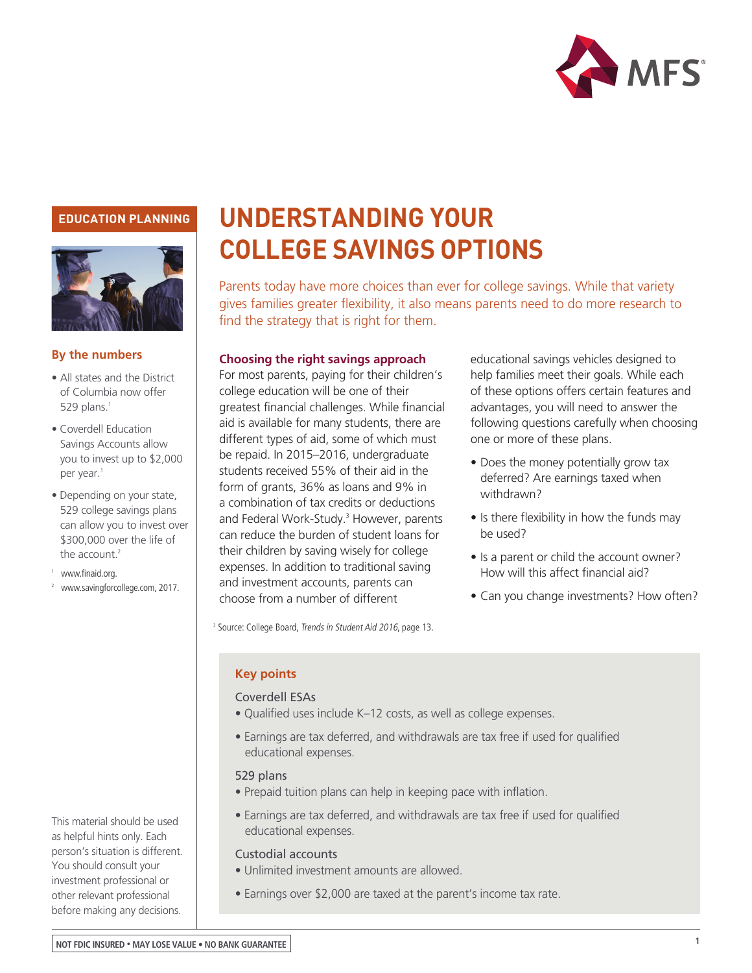

### **EDUCATION PLANNING**



#### **By the numbers**

- All states and the District of Columbia now offer 529 plans. $1$
- Coverdell Education Savings Accounts allow you to invest up to \$2,000 per year.<sup>1</sup>
- Depending on your state, 529 college savings plans can allow you to invest over \$300,000 over the life of the account. $2$
- <sup>1</sup> www.finaid.org.
- [2 www.savingforcollege.com, 2017.](http://www.savingforcollege.com/articles/heres-how-much-can-you-contribute-to-a-529-plan-in-2016-983?page=3)

This material should be used as helpful hints only. Each person's situation is different. You should consult your investment professional or other relevant professional before making any decisions.

# **UNDERSTANDING YOUR COLLEGE SAVINGS OPTIONS**

Parents today have more choices than ever for college savings. While that variety gives families greater flexibility, it also means parents need to do more research to find the strategy that is right for them.

#### **Choosing the right savings approach**

For most parents, paying for their children's college education will be one of their greatest financial challenges. While financial aid is available for many students, there are different types of aid, some of which must be repaid. In 2015–2016, undergraduate students received 55% of their aid in the form of grants, 36% as loans and 9% in a combination of tax credits or deductions and Federal Work-Study.<sup>3</sup> However, parents can reduce the burden of student loans for their children by saving wisely for college expenses. In addition to traditional saving and investment accounts, parents can choose from a number of different

educational savings vehicles designed to help families meet their goals. While each of these options offers certain features and advantages, you will need to answer the following questions carefully when choosing one or more of these plans.

- Does the money potentially grow tax deferred? Are earnings taxed when withdrawn?
- Is there flexibility in how the funds may be used?
- Is a parent or child the account owner? How will this affect financial aid?
- Can you change investments? How often?

<sup>3</sup> Source: College Board, Trends in Student Aid 2016, page 13.

#### **Key points**

#### Coverdell ESAs

- Qualified uses include K–12 costs, as well as college expenses.
- Earnings are tax deferred, and withdrawals are tax free if used for qualified educational expenses.

#### 529 plans

- Prepaid tuition plans can help in keeping pace with inflation.
- Earnings are tax deferred, and withdrawals are tax free if used for qualified educational expenses.

#### Custodial accounts

- Unlimited investment amounts are allowed.
- Earnings over \$2,000 are taxed at the parent's income tax rate.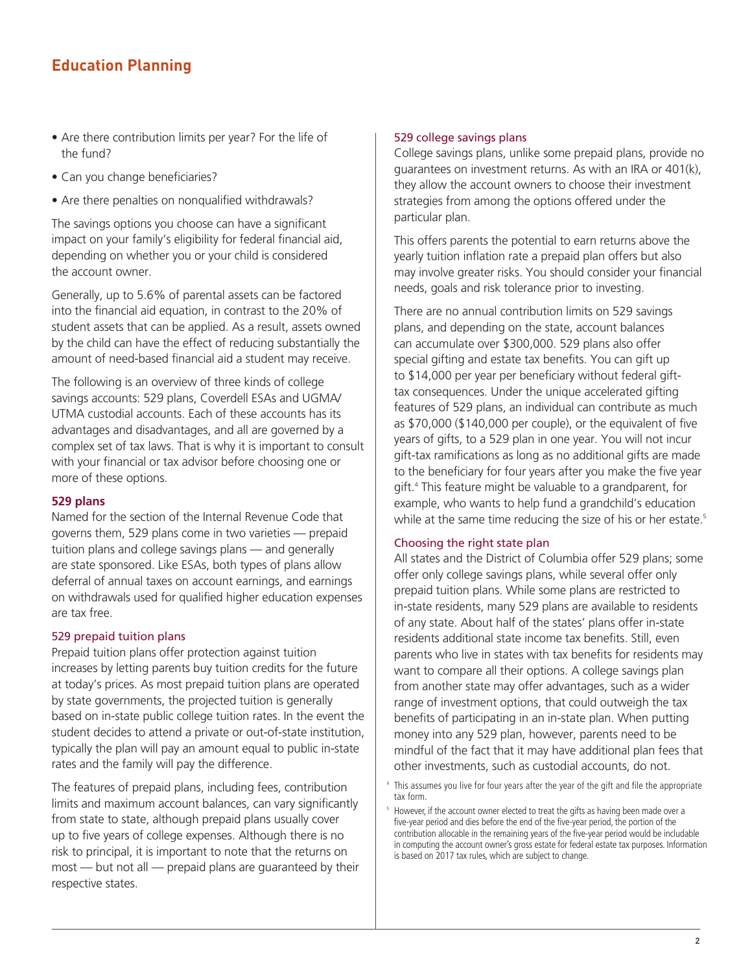- Are there contribution limits per year? For the life of the fund?
- Can you change beneficiaries?
- Are there penalties on nonqualified withdrawals?

The savings options you choose can have a significant impact on your family's eligibility for federal financial aid, depending on whether you or your child is considered the account owner.

Generally, up to 5.6% of parental assets can be factored into the financial aid equation, in contrast to the 20% of student assets that can be applied. As a result, assets owned by the child can have the effect of reducing substantially the amount of need-based financial aid a student may receive.

The following is an overview of three kinds of college savings accounts: 529 plans, Coverdell ESAs and UGMA/ UTMA custodial accounts. Each of these accounts has its advantages and disadvantages, and all are governed by a complex set of tax laws. That is why it is important to consult with your financial or tax advisor before choosing one or more of these options.

#### **529 plans**

Named for the section of the Internal Revenue Code that governs them, 529 plans come in two varieties — prepaid tuition plans and college savings plans — and generally are state sponsored. Like ESAs, both types of plans allow deferral of annual taxes on account earnings, and earnings on withdrawals used for qualified higher education expenses are tax free.

#### 529 prepaid tuition plans

Prepaid tuition plans offer protection against tuition increases by letting parents buy tuition credits for the future at today's prices. As most prepaid tuition plans are operated by state governments, the projected tuition is generally based on in-state public college tuition rates. In the event the student decides to attend a private or out-of-state institution, typically the plan will pay an amount equal to public in-state rates and the family will pay the difference.

The features of prepaid plans, including fees, contribution limits and maximum account balances, can vary significantly from state to state, although prepaid plans usually cover up to five years of college expenses. Although there is no risk to principal, it is important to note that the returns on most — but not all — prepaid plans are guaranteed by their respective states.

#### 529 college savings plans

College savings plans, unlike some prepaid plans, provide no guarantees on investment returns. As with an IRA or 401(k), they allow the account owners to choose their investment strategies from among the options offered under the particular plan.

This offers parents the potential to earn returns above the yearly tuition inflation rate a prepaid plan offers but also may involve greater risks. You should consider your financial needs, goals and risk tolerance prior to investing.

There are no annual contribution limits on 529 savings plans, and depending on the state, account balances can accumulate over \$300,000. 529 plans also offer special gifting and estate tax benefits. You can gift up to \$14,000 per year per beneficiary without federal gifttax consequences. Under the unique accelerated gifting features of 529 plans, an individual can contribute as much as \$70,000 (\$140,000 per couple), or the equivalent of five years of gifts, to a 529 plan in one year. You will not incur gift-tax ramifications as long as no additional gifts are made to the beneficiary for four years after you make the five year gift.4 This feature might be valuable to a grandparent, for example, who wants to help fund a grandchild's education while at the same time reducing the size of his or her estate.<sup>5</sup>

#### Choosing the right state plan

All states and the District of Columbia offer 529 plans; some offer only college savings plans, while several offer only prepaid tuition plans. While some plans are restricted to in-state residents, many 529 plans are available to residents of any state. About half of the states' plans offer in-state residents additional state income tax benefits. Still, even parents who live in states with tax benefits for residents may want to compare all their options. A college savings plan from another state may offer advantages, such as a wider range of investment options, that could outweigh the tax benefits of participating in an in-state plan. When putting money into any 529 plan, however, parents need to be mindful of the fact that it may have additional plan fees that other investments, such as custodial accounts, do not.

4 This assumes you live for four years after the year of the gift and file the appropriate tax form.

<sup>&</sup>lt;sup>5</sup> However, if the account owner elected to treat the gifts as having been made over a five-year period and dies before the end of the five-year period, the portion of the contribution allocable in the remaining years of the five-year period would be includable in computing the account owner's gross estate for federal estate tax purposes. Information is based on 2017 tax rules, which are subject to change.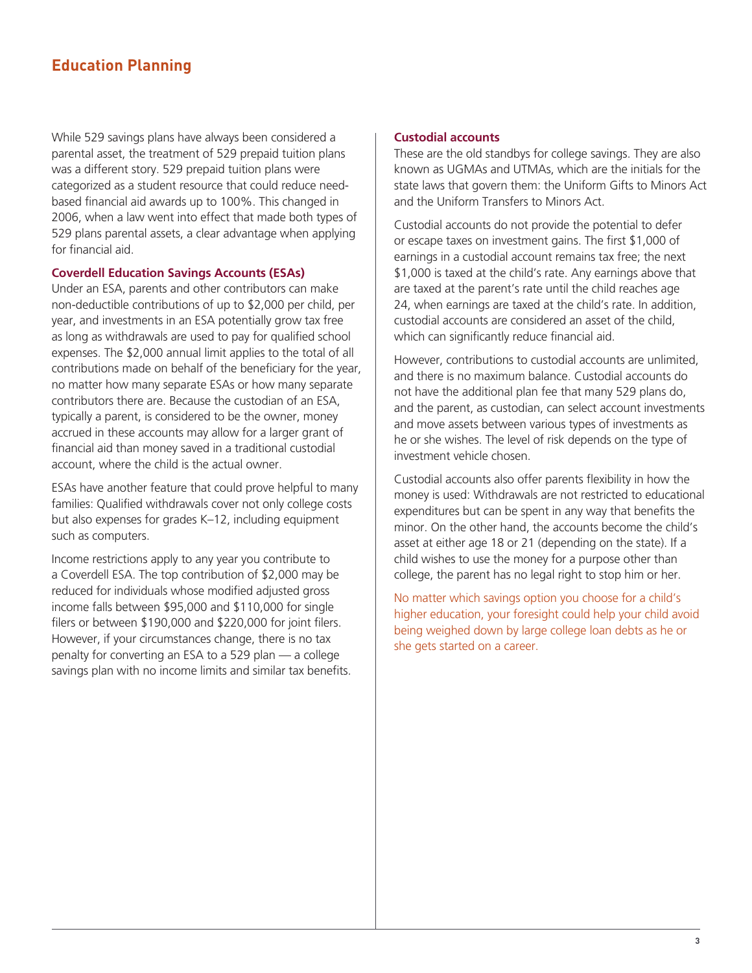While 529 savings plans have always been considered a parental asset, the treatment of 529 prepaid tuition plans was a different story. 529 prepaid tuition plans were categorized as a student resource that could reduce needbased financial aid awards up to 100%. This changed in 2006, when a law went into effect that made both types of 529 plans parental assets, a clear advantage when applying for financial aid.

#### **Coverdell Education Savings Accounts (ESAs)**

Under an ESA, parents and other contributors can make non-deductible contributions of up to \$2,000 per child, per year, and investments in an ESA potentially grow tax free as long as withdrawals are used to pay for qualified school expenses. The \$2,000 annual limit applies to the total of all contributions made on behalf of the beneficiary for the year, no matter how many separate ESAs or how many separate contributors there are. Because the custodian of an ESA, typically a parent, is considered to be the owner, money accrued in these accounts may allow for a larger grant of financial aid than money saved in a traditional custodial account, where the child is the actual owner.

ESAs have another feature that could prove helpful to many families: Qualified withdrawals cover not only college costs but also expenses for grades K–12, including equipment such as computers.

Income restrictions apply to any year you contribute to a Coverdell ESA. The top contribution of \$2,000 may be reduced for individuals whose modified adjusted gross income falls between \$95,000 and \$110,000 for single filers or between \$190,000 and \$220,000 for joint filers. However, if your circumstances change, there is no tax penalty for converting an ESA to a 529 plan — a college savings plan with no income limits and similar tax benefits.

#### **Custodial accounts**

These are the old standbys for college savings. They are also known as UGMAs and UTMAs, which are the initials for the state laws that govern them: the Uniform Gifts to Minors Act and the Uniform Transfers to Minors Act.

Custodial accounts do not provide the potential to defer or escape taxes on investment gains. The first \$1,000 of earnings in a custodial account remains tax free; the next \$1,000 is taxed at the child's rate. Any earnings above that are taxed at the parent's rate until the child reaches age 24, when earnings are taxed at the child's rate. In addition, custodial accounts are considered an asset of the child, which can significantly reduce financial aid.

However, contributions to custodial accounts are unlimited, and there is no maximum balance. Custodial accounts do not have the additional plan fee that many 529 plans do, and the parent, as custodian, can select account investments and move assets between various types of investments as he or she wishes. The level of risk depends on the type of investment vehicle chosen.

Custodial accounts also offer parents flexibility in how the money is used: Withdrawals are not restricted to educational expenditures but can be spent in any way that benefits the minor. On the other hand, the accounts become the child's asset at either age 18 or 21 (depending on the state). If a child wishes to use the money for a purpose other than college, the parent has no legal right to stop him or her.

No matter which savings option you choose for a child's higher education, your foresight could help your child avoid being weighed down by large college loan debts as he or she gets started on a career.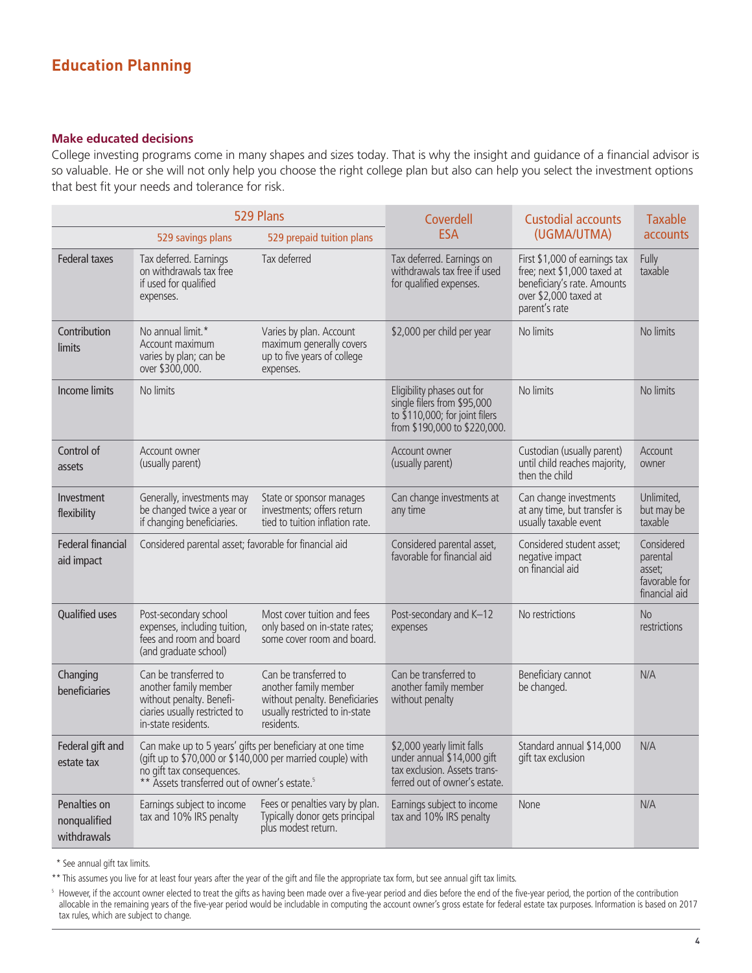#### **Make educated decisions**

College investing programs come in many shapes and sizes today. That is why the insight and guidance of a financial advisor is so valuable. He or she will not only help you choose the right college plan but also can help you select the investment options that best fit your needs and tolerance for risk.

| 529 Plans                                      |                                                                                                                                                                                                                   |                                                                                                                                  | Coverdell<br><b>ESA</b>                                                                                                       | <b>Custodial accounts</b><br>(UGMA/UTMA)                                                                                              | <b>Taxable</b><br>accounts                                         |
|------------------------------------------------|-------------------------------------------------------------------------------------------------------------------------------------------------------------------------------------------------------------------|----------------------------------------------------------------------------------------------------------------------------------|-------------------------------------------------------------------------------------------------------------------------------|---------------------------------------------------------------------------------------------------------------------------------------|--------------------------------------------------------------------|
| 529 prepaid tuition plans<br>529 savings plans |                                                                                                                                                                                                                   |                                                                                                                                  |                                                                                                                               |                                                                                                                                       |                                                                    |
| <b>Federal taxes</b>                           | Tax deferred. Earnings<br>on withdrawals tax free<br>if used for qualified<br>expenses.                                                                                                                           | Tax deferred                                                                                                                     | Tax deferred. Earnings on<br>withdrawals tax free if used<br>for qualified expenses.                                          | First \$1,000 of earnings tax<br>free; next \$1,000 taxed at<br>beneficiary's rate. Amounts<br>over \$2,000 taxed at<br>parent's rate | Fully<br>taxable                                                   |
| Contribution<br>limits                         | No annual limit.*<br>Account maximum<br>varies by plan; can be<br>over \$300,000.                                                                                                                                 | Varies by plan. Account<br>maximum generally covers<br>up to five years of college<br>expenses.                                  | \$2,000 per child per year                                                                                                    | No limits                                                                                                                             | No limits                                                          |
| <b>Income limits</b>                           | No limits                                                                                                                                                                                                         |                                                                                                                                  | Eligibility phases out for<br>single filers from \$95,000<br>to $$110,000$ ; for joint filers<br>from \$190,000 to \$220,000. | No limits                                                                                                                             | No limits                                                          |
| Control of<br>assets                           | Account owner<br>(usually parent)                                                                                                                                                                                 |                                                                                                                                  | Account owner<br>(usually parent)                                                                                             | Custodian (usually parent)<br>until child reaches majority,<br>then the child                                                         | Account<br>owner                                                   |
| Investment<br>flexibility                      | Generally, investments may<br>be changed twice a year or<br>if changing beneficiaries.                                                                                                                            | State or sponsor manages<br>investments; offers return<br>tied to tuition inflation rate.                                        | Can change investments at<br>any time                                                                                         | Can change investments<br>at any time, but transfer is<br>usually taxable event                                                       | Unlimited,<br>but may be<br>taxable                                |
| Federal financial<br>aid impact                | Considered parental asset; favorable for financial aid                                                                                                                                                            |                                                                                                                                  | Considered parental asset,<br>favorable for financial aid                                                                     | Considered student asset;<br>negative impact<br>on financial aid                                                                      | Considered<br>parental<br>asset;<br>favorable for<br>financial aid |
| <b>Qualified uses</b>                          | Post-secondary school<br>expenses, including tuition,<br>fees and room and board<br>(and graduate school)                                                                                                         | Most cover tuition and fees<br>only based on in-state rates;<br>some cover room and board.                                       | Post-secondary and K-12<br>expenses                                                                                           | No restrictions                                                                                                                       | <b>No</b><br>restrictions                                          |
| Changing<br>beneficiaries                      | Can be transferred to<br>another family member<br>without penalty. Benefi-<br>ciaries usually restricted to<br>in-state residents.                                                                                | Can be transferred to<br>another family member<br>without penalty. Beneficiaries<br>usually restricted to in-state<br>residents. | Can be transferred to<br>another family member<br>without penalty                                                             | Beneficiary cannot<br>be changed.                                                                                                     | N/A                                                                |
| Federal gift and<br>estate tax                 | Can make up to 5 years' gifts per beneficiary at one time<br>(gift up to \$70,000 or \$140,000 per married couple) with<br>no gift tax consequences.<br>** Assets transferred out of owner's estate. <sup>5</sup> |                                                                                                                                  | \$2,000 yearly limit falls<br>under annual \$14,000 gift<br>tax exclusion. Assets trans-<br>ferred out of owner's estate.     | Standard annual \$14,000<br>gift tax exclusion                                                                                        | N/A                                                                |
| Penalties on<br>nonqualified<br>withdrawals    | Earnings subject to income<br>tax and 10% IRS penalty                                                                                                                                                             | Fees or penalties vary by plan.<br>Typically donor gets principal<br>plus modest return.                                         | Earnings subject to income<br>tax and 10% IRS penalty                                                                         | None                                                                                                                                  | N/A                                                                |

\* See annual gift tax limits.

\*\* This assumes you live for at least four years after the year of the gift and file the appropriate tax form, but see annual gift tax limits.

 $^{\rm 5}$  However, if the account owner elected to treat the gifts as having been made over a five-year period and dies before the end of the five-year period, the portion of the contribution allocable in the remaining years of the five-year period would be includable in computing the account owner's gross estate for federal estate tax purposes. Information is based on 2017 tax rules, which are subject to change.